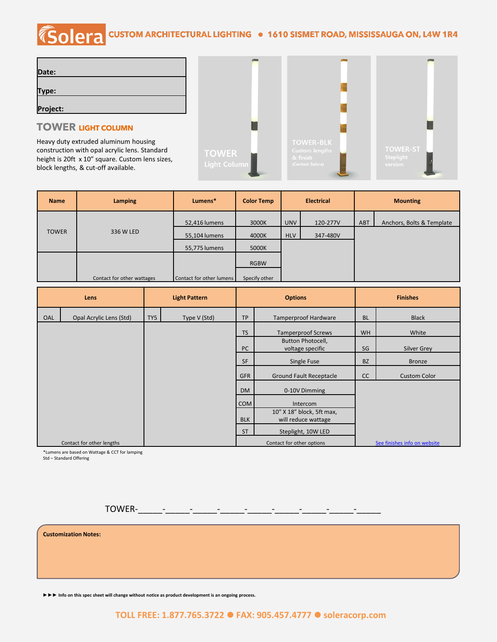# COLETA CUSTOM ARCHITECTURAL LIGHTING . 1610 SISMET ROAD, MISSISSAUGA ON, L4W 1R4

| Date:    |  |
|----------|--|
|          |  |
| Type:    |  |
|          |  |
| Project: |  |

### **TOWER LIGHT COLUMN**

Heavy duty extruded aluminum housing construction with opal acrylic lens. Standard height is 20ft x 10" square. Custom lens sizes, block lengths, & cut-off available.



| <b>Name</b>  | <b>Lamping</b>             | Lumens*                  | <b>Color Temp</b> | <b>Electrical</b>      |          | <b>Mounting</b> |                           |  |
|--------------|----------------------------|--------------------------|-------------------|------------------------|----------|-----------------|---------------------------|--|
|              |                            | 52,416 lumens            | 3000K             | <b>UNV</b>             | 120-277V | ABT             | Anchors, Bolts & Template |  |
| <b>TOWER</b> | 336 W LED                  | 55,104 lumens            | 4000K             | <b>HLV</b><br>347-480V |          |                 |                           |  |
|              |                            | 55,775 lumens            | 5000K             |                        |          |                 |                           |  |
|              |                            |                          | <b>RGBW</b>       |                        |          |                 |                           |  |
|              | Contact for other wattages | Contact for other lumens | Specify other     |                        |          |                 |                           |  |

| Lens |                           | <b>Light Pattern</b> |              | <b>Options</b> |                                | <b>Finishes</b> |                              |
|------|---------------------------|----------------------|--------------|----------------|--------------------------------|-----------------|------------------------------|
| OAL  | Opal Acrylic Lens (Std)   | TY5                  | Type V (Std) | <b>TP</b>      | <b>Tamperproof Hardware</b>    |                 | <b>Black</b>                 |
|      |                           |                      |              | <b>TS</b>      | <b>Tamperproof Screws</b>      | <b>WH</b>       | White                        |
|      |                           |                      |              |                | Button Photocell,              |                 |                              |
|      |                           |                      |              | PC             | voltage specific               | SG              | Silver Grey                  |
|      |                           |                      |              | <b>SF</b>      | Single Fuse                    | <b>BZ</b>       | <b>Bronze</b>                |
|      |                           |                      |              | <b>GFR</b>     | <b>Ground Fault Receptacle</b> | cc              | <b>Custom Color</b>          |
|      |                           |                      |              | <b>DM</b>      | 0-10V Dimming                  |                 |                              |
|      |                           |                      |              | <b>COM</b>     | Intercom                       |                 |                              |
|      |                           |                      |              |                | 10" X 18" block, 5ft max,      |                 |                              |
|      |                           |                      |              | <b>BLK</b>     | will reduce wattage            |                 |                              |
|      |                           |                      |              | <b>ST</b>      | Steplight, 10W LED             |                 |                              |
|      | Contact for other lengths |                      |              |                | Contact for other options      |                 | See finishes info on website |

\*Lumens are based on Wattage & CCT for lamping

Std – Standard Offering

TOWER-\_\_\_\_\_-\_\_\_\_\_-\_\_\_\_\_-\_\_\_\_\_-\_\_\_\_\_-\_\_\_\_\_-\_\_\_\_\_-\_\_\_\_\_-\_\_\_\_\_

**Customization Notes:**

**►►► Info on this spec sheet will change without notice as product development is an ongoing process.**

#### **TOLL FREE: 1.877.765.3722** ⚫ **FAX: 905.457.4777** ⚫ **soleracorp.com**